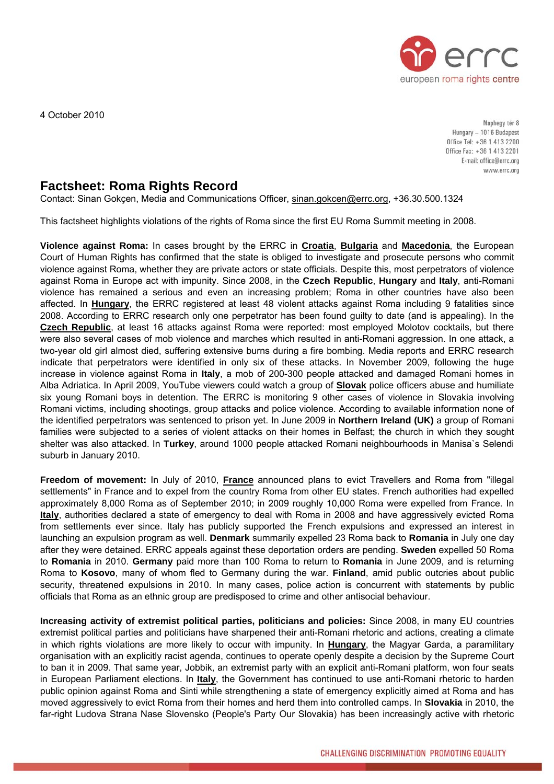

4 October 2010

Naphegy tér 8 Hungary - 1016 Budapest Office Tel: +36 1 413 2200 Office Fax: +36 1 413 2201 E-mail: office@errc.org www.errc.org

## **Factsheet: Roma Rights Record**

Contact: Sinan Gokçen, Media and Communications Officer, [sinan.gokcen@errc.org,](mailto:sinan.gokcen@errc.org) +36.30.500.1324

This factsheet highlights violations of the rights of Roma since the first EU Roma Summit meeting in 2008.

**Violence against Roma:** In cases brought by the ERRC in **[Croatia](http://www.errc.org/cikk.php?cikk=2802)**, **[Bulgaria](http://errc.org/en-research-and-advocacy-roma-details.php?page=2&article_id=3613)** and **[Macedonia](http://errc.org/cikk.php?cikk=3587)**, the European Court of Human Rights has confirmed that the state is obliged to investigate and prosecute persons who commit violence against Roma, whether they are private actors or state officials. Despite this, most perpetrators of violence against Roma in Europe act with impunity. Since 2008, in the **Czech Republic**, **Hungary** and **Italy**, anti-Romani violence has remained a serious and even an increasing problem; Roma in other countries have also been affected. In **[Hungary](http://www.errc.org/cms/upload/file/attacks-list-in-hungary.pdf)**, the ERRC registered at least 48 violent attacks against Roma including 9 fatalities since 2008. According to ERRC research only one perpetrator has been found guilty to date (and is appealing). In the **[Czech Republic](http://www.errc.org/cms/upload/file/attacks-list-in-czech-republic.pdf)**, at least 16 attacks against Roma were reported: most employed Molotov cocktails, but there were also several cases of mob violence and marches which resulted in anti-Romani aggression. In one attack, a two-year old girl almost died, suffering extensive burns during a fire bombing. Media reports and ERRC research indicate that perpetrators were identified in only six of these attacks. In November 2009, following the huge increase in violence against Roma in **Italy**, a mob of 200-300 people attacked and damaged Romani homes in Alba Adriatica. In April 2009, YouTube viewers could watch a group of **[Slovak](http://www.errc.org/cikk.php?cikk=3029)** police officers abuse and humiliate six young Romani boys in detention. The ERRC is monitoring 9 other cases of violence in Slovakia involving Romani victims, including shootings, group attacks and police violence. According to available information none of the identified perpetrators was sentenced to prison yet. In June 2009 in **Northern Ireland (UK)** a group of Romani families were subjected to a series of violent attacks on their homes in Belfast; the church in which they sought shelter was also attacked. In **Turkey**, around 1000 people attacked Romani neighbourhoods in Manisa`s Selendi suburb in January 2010.

**Freedom of movement:** In July of 2010, **[France](http://errc.org/cikk.php?cikk=3619)** [announced plans](http://www.guardian.co.uk/world/2010/jul/27/france-nicolas-sarkozy-roma-gypsy) to evict Travellers and Roma from "illegal settlements" in France and to expel from the country Roma from other EU states. French authorities had expelled approximately 8,000 Roma as of September 2010; in 2009 roughly 10,000 Roma were expelled from France. In **[Italy](http://errc.org/cms/upload/file/m00000428.pdf)**, authorities declared a [state of emergency](http://www.telegraph.co.uk/news/worldnews/europe/italy/2459968/Italy-declares-state-of-emergency-over-Roma-immigrants.html) to deal with Roma in 2008 and have aggressively evicted Roma from settlements ever since. Italy has publicly supported the French expulsions and expressed an interest in launching an expulsion program as well. **[Denmark](http://www.errc.org/cikk.php?cikk=3675)** summarily expelled 23 Roma back to **Romania** in July one day after they were detained. ERRC appeals against these deportation orders are pending. **Sweden** expelled 50 Roma to **Romania** in 2010. **Germany** paid more than 100 Roma to return to **Romania** in June 2009, and is returning Roma to **Kosovo**, many of whom fled to Germany during the war. **Finland**, amid public outcries about public security, threatened expulsions in 2010. In many cases, police action is concurrent with statements by public officials that Roma as an ethnic group are predisposed to crime and other antisocial behaviour.

**Increasing activity of extremist political parties, politicians and policies:** Since 2008, in many EU countries extremist political parties and politicians have sharpened their anti-Romani rhetoric and actions, creating a climate in which rights violations are more likely to occur with impunity. In **[Hungary](http://www.errc.org/en-research-and-advocacy-roma-details.php?article_id=3046)**, the Magyar Garda, a paramilitary organisation with an explicitly racist agenda, continues to operate openly despite a decision by the Supreme Court to ban it in 2009. That same year, Jobbik, an extremist party with an explicit anti-Romani platform, won four seats in European Parliament elections. In **[Italy](http://errc.org/cikk.php?cikk=2958)**, the Government has continued to use anti-Romani rhetoric to harden public opinion against Roma and Sinti while strengthening a state of emergency explicitly aimed at Roma and has moved aggressively to evict Roma from their homes and herd them into controlled camps. In **Slovakia** in 2010, the far-right Ludova Strana Nase Slovensko (People's Party Our Slovakia) has been increasingly active with rhetoric